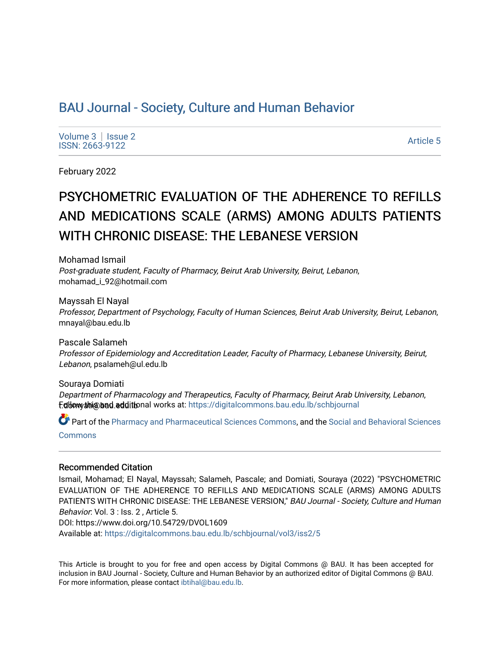# [BAU Journal - Society, Culture and Human Behavior](https://digitalcommons.bau.edu.lb/schbjournal)

Volume  $3 \mid$  Issue 2 Notative Superior Section 2012<br>ISSN: 2663-9122

February 2022

# PSYCHOMETRIC EVALUATION OF THE ADHERENCE TO REFILLS AND MEDICATIONS SCALE (ARMS) AMONG ADULTS PATIENTS WITH CHRONIC DISEASE: THE LEBANESE VERSION

Mohamad Ismail Post-graduate student, Faculty of Pharmacy, Beirut Arab University, Beirut, Lebanon, mohamad\_i\_92@hotmail.com

Mayssah El Nayal Professor, Department of Psychology, Faculty of Human Sciences, Beirut Arab University, Beirut, Lebanon, mnayal@bau.edu.lb

Pascale Salameh Professor of Epidemiology and Accreditation Leader, Faculty of Pharmacy, Lebanese University, Beirut, Lebanon, psalameh@ul.edu.lb

Souraya Domiati Department of Pharmacology and Therapeutics, Faculty of Pharmacy, Beirut Arab University, Lebanon, f.dbow thi@bad.edditional works at: [https://digitalcommons.bau.edu.lb/schbjournal](https://digitalcommons.bau.edu.lb/schbjournal?utm_source=digitalcommons.bau.edu.lb%2Fschbjournal%2Fvol3%2Fiss2%2F5&utm_medium=PDF&utm_campaign=PDFCoverPages)

Part of the [Pharmacy and Pharmaceutical Sciences Commons](http://network.bepress.com/hgg/discipline/731?utm_source=digitalcommons.bau.edu.lb%2Fschbjournal%2Fvol3%2Fiss2%2F5&utm_medium=PDF&utm_campaign=PDFCoverPages), and the [Social and Behavioral Sciences](http://network.bepress.com/hgg/discipline/316?utm_source=digitalcommons.bau.edu.lb%2Fschbjournal%2Fvol3%2Fiss2%2F5&utm_medium=PDF&utm_campaign=PDFCoverPages)  **[Commons](http://network.bepress.com/hgg/discipline/316?utm_source=digitalcommons.bau.edu.lb%2Fschbjournal%2Fvol3%2Fiss2%2F5&utm_medium=PDF&utm_campaign=PDFCoverPages)** 

#### Recommended Citation

Ismail, Mohamad; El Nayal, Mayssah; Salameh, Pascale; and Domiati, Souraya (2022) "PSYCHOMETRIC EVALUATION OF THE ADHERENCE TO REFILLS AND MEDICATIONS SCALE (ARMS) AMONG ADULTS PATIENTS WITH CHRONIC DISEASE: THE LEBANESE VERSION," BAU Journal - Society, Culture and Human Behavior: Vol. 3 : Iss. 2 , Article 5.

DOI: https://www.doi.org/10.54729/DVOL1609

Available at: [https://digitalcommons.bau.edu.lb/schbjournal/vol3/iss2/5](https://digitalcommons.bau.edu.lb/schbjournal/vol3/iss2/5?utm_source=digitalcommons.bau.edu.lb%2Fschbjournal%2Fvol3%2Fiss2%2F5&utm_medium=PDF&utm_campaign=PDFCoverPages)

This Article is brought to you for free and open access by Digital Commons @ BAU. It has been accepted for inclusion in BAU Journal - Society, Culture and Human Behavior by an authorized editor of Digital Commons @ BAU. For more information, please contact [ibtihal@bau.edu.lb.](mailto:ibtihal@bau.edu.lb)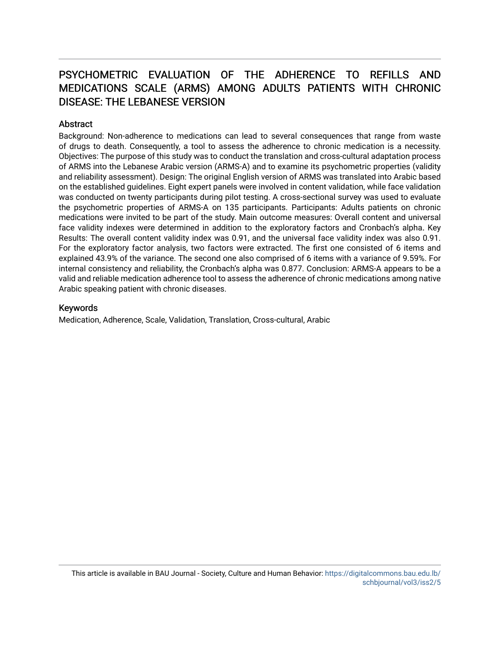# PSYCHOMETRIC EVALUATION OF THE ADHERENCE TO REFILLS AND MEDICATIONS SCALE (ARMS) AMONG ADULTS PATIENTS WITH CHRONIC DISEASE: THE LEBANESE VERSION

# **Abstract**

Background: Non-adherence to medications can lead to several consequences that range from waste of drugs to death. Consequently, a tool to assess the adherence to chronic medication is a necessity. Objectives: The purpose of this study was to conduct the translation and cross-cultural adaptation process of ARMS into the Lebanese Arabic version (ARMS-A) and to examine its psychometric properties (validity and reliability assessment). Design: The original English version of ARMS was translated into Arabic based on the established guidelines. Eight expert panels were involved in content validation, while face validation was conducted on twenty participants during pilot testing. A cross-sectional survey was used to evaluate the psychometric properties of ARMS-A on 135 participants. Participants: Adults patients on chronic medications were invited to be part of the study. Main outcome measures: Overall content and universal face validity indexes were determined in addition to the exploratory factors and Cronbach's alpha. Key Results: The overall content validity index was 0.91, and the universal face validity index was also 0.91. For the exploratory factor analysis, two factors were extracted. The first one consisted of 6 items and explained 43.9% of the variance. The second one also comprised of 6 items with a variance of 9.59%. For internal consistency and reliability, the Cronbach's alpha was 0.877. Conclusion: ARMS-A appears to be a valid and reliable medication adherence tool to assess the adherence of chronic medications among native Arabic speaking patient with chronic diseases.

## Keywords

Medication, Adherence, Scale, Validation, Translation, Cross-cultural, Arabic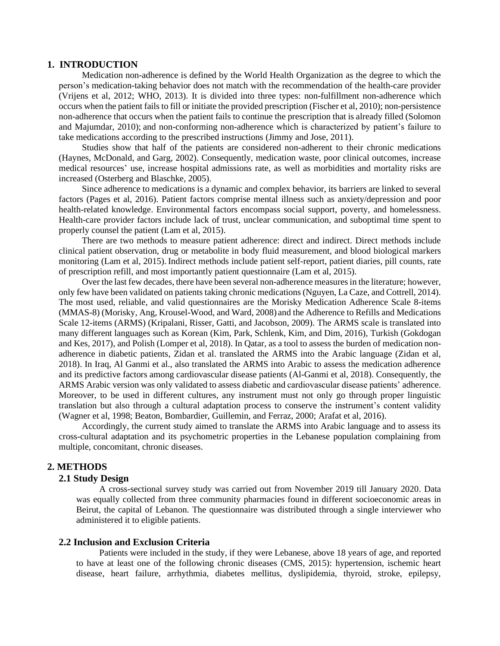#### **1. INTRODUCTION**

Medication non-adherence is defined by the World Health Organization as the degree to which the person's medication-taking behavior does not match with the recommendation of the health-care provider (Vrijens et al, 2012; WHO, 2013). It is divided into three types: non-fulfillment non-adherence which occurs when the patient fails to fill or initiate the provided prescription (Fischer et al, 2010); non-persistence non-adherence that occurs when the patient fails to continue the prescription that is already filled (Solomon and Majumdar, 2010); and non-conforming non-adherence which is characterized by patient's failure to take medications according to the prescribed instructions (Jimmy and Jose, 2011).

Studies show that half of the patients are considered non-adherent to their chronic medications (Haynes, McDonald, and Garg, 2002). Consequently, medication waste, poor clinical outcomes, increase medical resources' use, increase hospital admissions rate, as well as morbidities and mortality risks are increased (Osterberg and Blaschke, 2005).

Since adherence to medications is a dynamic and complex behavior, its barriers are linked to several factors (Pages et al, 2016). Patient factors comprise mental illness such as anxiety/depression and poor health-related knowledge. Environmental factors encompass social support, poverty, and homelessness. Health-care provider factors include lack of trust, unclear communication, and suboptimal time spent to properly counsel the patient (Lam et al, 2015).

There are two methods to measure patient adherence: direct and indirect. Direct methods include clinical patient observation, drug or metabolite in body fluid measurement, and blood biological markers monitoring (Lam et al, 2015). Indirect methods include patient self-report, patient diaries, pill counts, rate of prescription refill, and most importantly patient questionnaire (Lam et al, 2015).

Over the last few decades, there have been several non-adherence measures in the literature; however, only few have been validated on patients taking chronic medications (Nguyen, La Caze, and Cottrell, 2014). The most used, reliable, and valid questionnaires are the Morisky Medication Adherence Scale 8-items (MMAS-8) (Morisky, Ang, Krousel-Wood, and Ward, 2008) and the Adherence to Refills and Medications Scale 12-items (ARMS) (Kripalani, Risser, Gatti, and Jacobson, 2009). The ARMS scale is translated into many different languages such as Korean (Kim, Park, Schlenk, Kim, and Dim, 2016), Turkish (Gokdogan and Kes, 2017), and Polish (Lomper et al, 2018). In Qatar, as a tool to assess the burden of medication nonadherence in diabetic patients, Zidan et al. translated the ARMS into the Arabic language (Zidan et al, 2018). In Iraq, Al Ganmi et al., also translated the ARMS into Arabic to assess the medication adherence and its predictive factors among cardiovascular disease patients (Al-Ganmi et al, 2018). Consequently, the ARMS Arabic version was only validated to assess diabetic and cardiovascular disease patients' adherence. Moreover, to be used in different cultures, any instrument must not only go through proper linguistic translation but also through a cultural adaptation process to conserve the instrument's content validity (Wagner et al, 1998; Beaton, Bombardier, Guillemin, and Ferraz, 2000; Arafat et al, 2016).

Accordingly, the current study aimed to translate the ARMS into Arabic language and to assess its cross-cultural adaptation and its psychometric properties in the Lebanese population complaining from multiple, concomitant, chronic diseases.

#### **2. METHODS**

#### **2.1 Study Design**

A cross-sectional survey study was carried out from November 2019 till January 2020. Data was equally collected from three community pharmacies found in different socioeconomic areas in Beirut, the capital of Lebanon. The questionnaire was distributed through a single interviewer who administered it to eligible patients.

# **2.2 Inclusion and Exclusion Criteria**

Patients were included in the study, if they were Lebanese, above 18 years of age, and reported to have at least one of the following chronic diseases (CMS, 2015): hypertension, ischemic heart disease, heart failure, arrhythmia, diabetes mellitus, dyslipidemia, thyroid, stroke, epilepsy,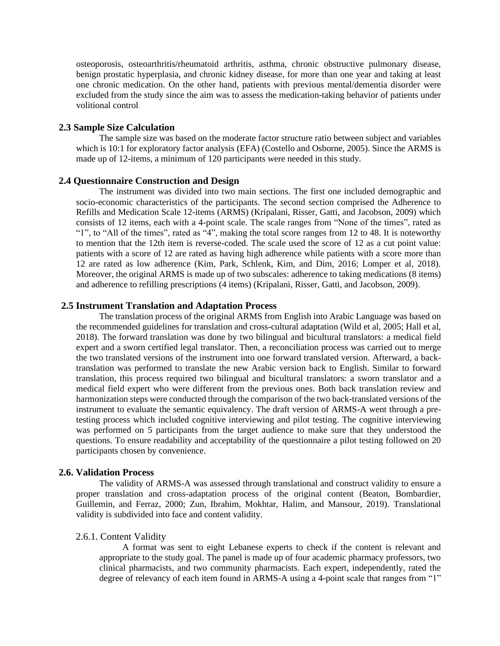osteoporosis, osteoarthritis/rheumatoid arthritis, asthma, chronic obstructive pulmonary disease, benign prostatic hyperplasia, and chronic kidney disease, for more than one year and taking at least one chronic medication. On the other hand, patients with previous mental/dementia disorder were excluded from the study since the aim was to assess the medication-taking behavior of patients under volitional control.

### **2.3 Sample Size Calculation**

The sample size was based on the moderate factor structure ratio between subject and variables which is 10:1 for exploratory factor analysis (EFA) (Costello and Osborne, 2005). Since the ARMS is made up of 12-items, a minimum of 120 participants were needed in this study.

#### **2.4 Questionnaire Construction and Design**

The instrument was divided into two main sections. The first one included demographic and socio-economic characteristics of the participants. The second section comprised the Adherence to Refills and Medication Scale 12-items (ARMS) (Kripalani, Risser, Gatti, and Jacobson, 2009) which consists of 12 items, each with a 4-point scale. The scale ranges from "None of the times", rated as "1", to "All of the times", rated as "4", making the total score ranges from 12 to 48. It is noteworthy to mention that the 12th item is reverse-coded. The scale used the score of 12 as a cut point value: patients with a score of 12 are rated as having high adherence while patients with a score more than 12 are rated as low adherence (Kim, Park, Schlenk, Kim, and Dim, 2016; Lomper et al, 2018). Moreover, the original ARMS is made up of two subscales: adherence to taking medications (8 items) and adherence to refilling prescriptions (4 items) (Kripalani, Risser, Gatti, and Jacobson, 2009).

### **2.5 Instrument Translation and Adaptation Process**

The translation process of the original ARMS from English into Arabic Language was based on the recommended guidelines for translation and cross-cultural adaptation (Wild et al, 2005; Hall et al, 2018). The forward translation was done by two bilingual and bicultural translators: a medical field expert and a sworn certified legal translator. Then, a reconciliation process was carried out to merge the two translated versions of the instrument into one forward translated version. Afterward, a backtranslation was performed to translate the new Arabic version back to English. Similar to forward translation, this process required two bilingual and bicultural translators: a sworn translator and a medical field expert who were different from the previous ones. Both back translation review and harmonization steps were conducted through the comparison of the two back-translated versions of the instrument to evaluate the semantic equivalency. The draft version of ARMS-A went through a pretesting process which included cognitive interviewing and pilot testing. The cognitive interviewing was performed on 5 participants from the target audience to make sure that they understood the questions. To ensure readability and acceptability of the questionnaire a pilot testing followed on 20 participants chosen by convenience.

### **2.6. Validation Process**

The validity of ARMS-A was assessed through translational and construct validity to ensure a proper translation and cross-adaptation process of the original content (Beaton, Bombardier, Guillemin, and Ferraz, 2000; Zun, Ibrahim, Mokhtar, Halim, and Mansour, 2019). Translational validity is subdivided into face and content validity.

#### 2.6.1. Content Validity

A format was sent to eight Lebanese experts to check if the content is relevant and appropriate to the study goal. The panel is made up of four academic pharmacy professors, two clinical pharmacists, and two community pharmacists. Each expert, independently, rated the degree of relevancy of each item found in ARMS-A using a 4-point scale that ranges from "1"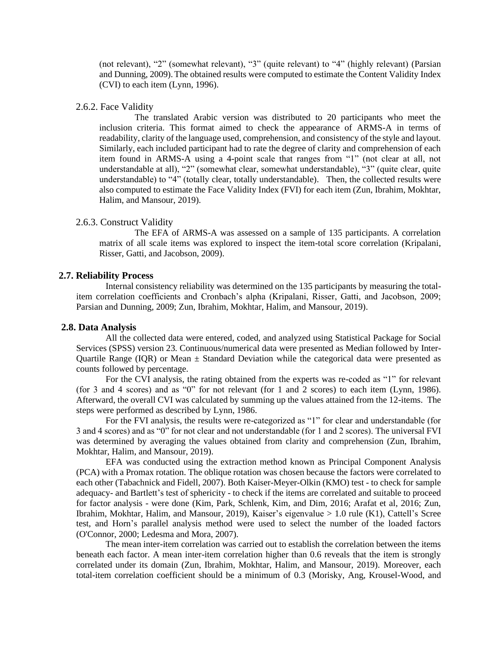(not relevant), "2" (somewhat relevant), "3" (quite relevant) to "4" (highly relevant) (Parsian and Dunning, 2009).The obtained results were computed to estimate the Content Validity Index (CVI) to each item (Lynn, 1996).

#### 2.6.2. Face Validity

 The translated Arabic version was distributed to 20 participants who meet the inclusion criteria. This format aimed to check the appearance of ARMS-A in terms of readability, clarity of the language used, comprehension, and consistency of the style and layout. Similarly, each included participant had to rate the degree of clarity and comprehension of each item found in ARMS-A using a 4-point scale that ranges from "1" (not clear at all, not understandable at all), "2" (somewhat clear, somewhat understandable), "3" (quite clear, quite understandable) to "4" (totally clear, totally understandable). Then, the collected results were also computed to estimate the Face Validity Index (FVI) for each item (Zun, Ibrahim, Mokhtar, Halim, and Mansour, 2019).

#### 2.6.3. Construct Validity

 The EFA of ARMS-A was assessed on a sample of 135 participants. A correlation matrix of all scale items was explored to inspect the item-total score correlation (Kripalani, Risser, Gatti, and Jacobson, 2009).

#### **2.7. Reliability Process**

Internal consistency reliability was determined on the 135 participants by measuring the totalitem correlation coefficients and Cronbach's alpha (Kripalani, Risser, Gatti, and Jacobson, 2009; Parsian and Dunning, 2009; Zun, Ibrahim, Mokhtar, Halim, and Mansour, 2019).

#### **2.8. Data Analysis**

All the collected data were entered, coded, and analyzed using Statistical Package for Social Services (SPSS) version 23. Continuous/numerical data were presented as Median followed by Inter-Quartile Range (IQR) or Mean  $\pm$  Standard Deviation while the categorical data were presented as counts followed by percentage.

For the CVI analysis, the rating obtained from the experts was re-coded as "1" for relevant (for 3 and 4 scores) and as "0" for not relevant (for 1 and 2 scores) to each item (Lynn, 1986). Afterward, the overall CVI was calculated by summing up the values attained from the 12-items. The steps were performed as described by Lynn, 1986.

For the FVI analysis, the results were re-categorized as "1" for clear and understandable (for 3 and 4 scores) and as "0" for not clear and not understandable (for 1 and 2 scores). The universal FVI was determined by averaging the values obtained from clarity and comprehension (Zun, Ibrahim, Mokhtar, Halim, and Mansour, 2019).

EFA was conducted using the extraction method known as Principal Component Analysis (PCA) with a Promax rotation. The oblique rotation was chosen because the factors were correlated to each other (Tabachnick and Fidell, 2007). Both Kaiser-Meyer-Olkin (KMO) test - to check for sample adequacy- and Bartlett's test of sphericity - to check if the items are correlated and suitable to proceed for factor analysis - were done (Kim, Park, Schlenk, Kim, and Dim, 2016; Arafat et al, 2016; Zun, Ibrahim, Mokhtar, Halim, and Mansour, 2019), Kaiser's eigenvalue > 1.0 rule (K1), Cattell's Scree test, and Horn's parallel analysis method were used to select the number of the loaded factors (O'Connor, 2000; Ledesma and Mora, 2007).

The mean inter-item correlation was carried out to establish the correlation between the items beneath each factor. A mean inter-item correlation higher than 0.6 reveals that the item is strongly correlated under its domain (Zun, Ibrahim, Mokhtar, Halim, and Mansour, 2019). Moreover, each total-item correlation coefficient should be a minimum of 0.3 (Morisky, Ang, Krousel-Wood, and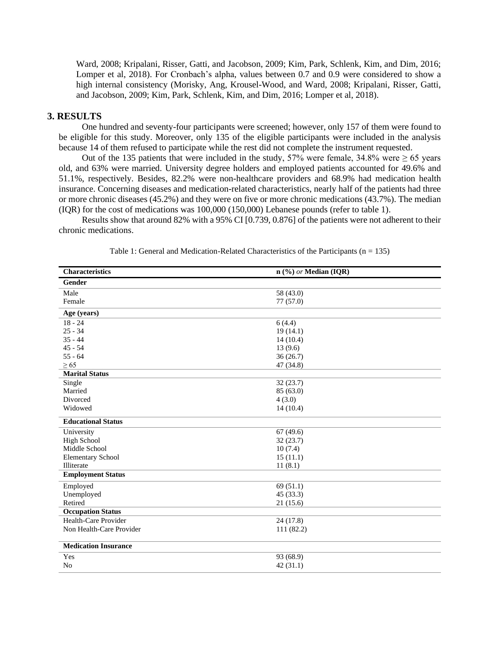Ward, 2008; Kripalani, Risser, Gatti, and Jacobson, 2009; Kim, Park, Schlenk, Kim, and Dim, 2016; Lomper et al, 2018). For Cronbach's alpha, values between 0.7 and 0.9 were considered to show a high internal consistency (Morisky, Ang, Krousel-Wood, and Ward, 2008; Kripalani, Risser, Gatti, and Jacobson, 2009; Kim, Park, Schlenk, Kim, and Dim, 2016; Lomper et al, 2018).

### **3. RESULTS**

One hundred and seventy-four participants were screened; however, only 157 of them were found to be eligible for this study. Moreover, only 135 of the eligible participants were included in the analysis because 14 of them refused to participate while the rest did not complete the instrument requested.

Out of the 135 patients that were included in the study, 57% were female, 34.8% were  $\geq 65$  years old, and 63% were married. University degree holders and employed patients accounted for 49.6% and 51.1%, respectively. Besides, 82.2% were non-healthcare providers and 68.9% had medication health insurance. Concerning diseases and medication-related characteristics, nearly half of the patients had three or more chronic diseases (45.2%) and they were on five or more chronic medications (43.7%). The median (IQR) for the cost of medications was 100,000 (150,000) Lebanese pounds (refer to table 1).

Results show that around 82% with a 95% CI [0.739, 0.876] of the patients were not adherent to their chronic medications.

| <b>Characteristics</b>      | n (%) or Median (IQR) |
|-----------------------------|-----------------------|
| <b>Gender</b>               |                       |
| Male                        | 58 (43.0)             |
| Female                      | 77(57.0)              |
| Age (years)                 |                       |
| $18 - 24$                   | 6(4.4)                |
| $25 - 34$                   | 19(14.1)              |
| $35 - 44$                   | 14(10.4)              |
| $45 - 54$                   | 13(9.6)               |
| $55 - 64$                   | 36(26.7)              |
| $\geq 65$                   | 47 (34.8)             |
| <b>Marital Status</b>       |                       |
| Single                      | 32(23.7)              |
| Married                     | 85 (63.0)             |
| Divorced                    | 4(3.0)                |
| Widowed                     | 14(10.4)              |
| <b>Educational Status</b>   |                       |
| University                  | 67(49.6)              |
| <b>High School</b>          | 32(23.7)              |
| Middle School               | 10(7.4)               |
| <b>Elementary School</b>    | 15(11.1)              |
| Illiterate                  | 11(8.1)               |
| <b>Employment Status</b>    |                       |
| Employed                    | 69(51.1)              |
| Unemployed                  | 45 (33.3)             |
| Retired                     | 21(15.6)              |
| <b>Occupation Status</b>    |                       |
| Health-Care Provider        | 24 (17.8)             |
| Non Health-Care Provider    | 111 (82.2)            |
| <b>Medication Insurance</b> |                       |
| Yes                         | 93 (68.9)             |
| N <sub>o</sub>              | 42(31.1)              |
|                             |                       |

Table 1: General and Medication-Related Characteristics of the Participants ( $n = 135$ )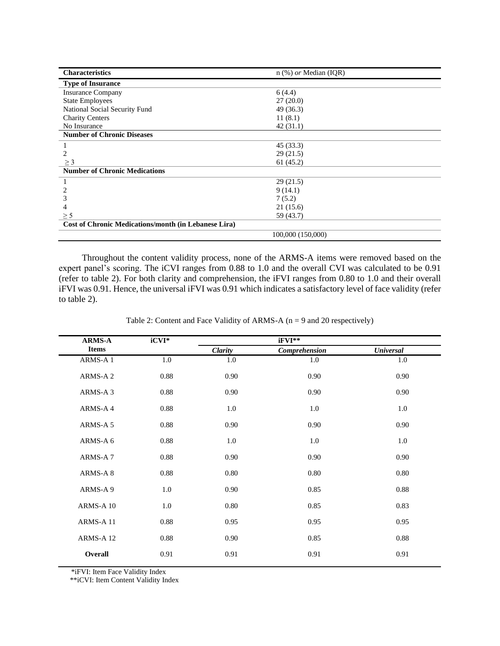| <b>Characteristics</b>                               | $n$ (%) <i>or</i> Median (IQR) |  |
|------------------------------------------------------|--------------------------------|--|
| <b>Type of Insurance</b>                             |                                |  |
| <b>Insurance Company</b>                             | 6(4.4)                         |  |
| <b>State Employees</b>                               | 27(20.0)                       |  |
| National Social Security Fund                        | 49 (36.3)                      |  |
| <b>Charity Centers</b>                               | 11(8.1)                        |  |
| No Insurance                                         | 42(31.1)                       |  |
| <b>Number of Chronic Diseases</b>                    |                                |  |
|                                                      | 45 (33.3)                      |  |
| 2                                                    | 29(21.5)                       |  |
| $\geq$ 3                                             | 61(45.2)                       |  |
| <b>Number of Chronic Medications</b>                 |                                |  |
|                                                      | 29(21.5)                       |  |
|                                                      | 9(14.1)                        |  |
|                                                      | 7(5.2)                         |  |
|                                                      | 21(15.6)                       |  |
| $\geq$ 5                                             | 59 (43.7)                      |  |
| Cost of Chronic Medications/month (in Lebanese Lira) |                                |  |
|                                                      | 100,000 (150,000)              |  |

Throughout the content validity process, none of the ARMS-A items were removed based on the expert panel's scoring. The iCVI ranges from 0.88 to 1.0 and the overall CVI was calculated to be 0.91 (refer to table 2). For both clarity and comprehension, the iFVI ranges from 0.80 to 1.0 and their overall iFVI was 0.91. Hence, the universal iFVI was 0.91 which indicates a satisfactory level of face validity (refer to table 2).

| <b>ARMS-A</b>       | $iCVI*$  | iFVI**  |               |                  |
|---------------------|----------|---------|---------------|------------------|
| <b>Items</b>        |          | Clarity | Comprehension | <b>Universal</b> |
| ARMS-A 1            | 1.0      | 1.0     | 1.0           | 1.0              |
| ARMS-A 2            | 0.88     | 0.90    | 0.90          | 0.90             |
| ARMS-A <sub>3</sub> | 0.88     | 0.90    | 0.90          | 0.90             |
| ARMS-A4             | 0.88     | 1.0     | 1.0           | 1.0              |
| ARMS-A 5            | 0.88     | 0.90    | 0.90          | 0.90             |
| ARMS-A 6            | 0.88     | 1.0     | 1.0           | 1.0              |
| ARMS-A7             | 0.88     | 0.90    | 0.90          | 0.90             |
| ARMS-A8             | 0.88     | 0.80    | 0.80          | 0.80             |
| ARMS-A 9            | 1.0      | 0.90    | 0.85          | 0.88             |
| ARMS-A 10           | 1.0      | 0.80    | 0.85          | 0.83             |
| ARMS-A 11           | 0.88     | 0.95    | 0.95          | 0.95             |
| ARMS-A 12           | $0.88\,$ | 0.90    | 0.85          | 0.88             |
| <b>Overall</b>      | 0.91     | 0.91    | 0.91          | 0.91             |

Table 2: Content and Face Validity of ARMS-A (n = 9 and 20 respectively)

\*iFVI: Item Face Validity Index

\*\*iCVI: Item Content Validity Index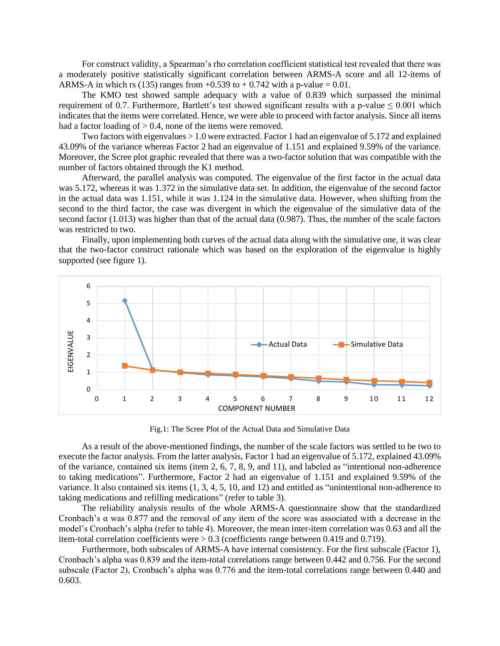For construct validity, a Spearman's rho correlation coefficient statistical test revealed that there was a moderately positive statistically significant correlation between ARMS-A score and all 12-items of ARMS-A in which rs (135) ranges from  $+0.539$  to  $+0.742$  with a p-value = 0.01.

The KMO test showed sample adequacy with a value of 0.839 which surpassed the minimal requirement of 0.7. Furthermore, Bartlett's test showed significant results with a p-value  $\leq 0.001$  which indicates that the items were correlated. Hence, we were able to proceed with factor analysis. Since all items had a factor loading of  $> 0.4$ , none of the items were removed.

Two factors with eigenvalues > 1.0 were extracted. Factor 1 had an eigenvalue of 5.172 and explained 43.09% of the variance whereas Factor 2 had an eigenvalue of 1.151 and explained 9.59% of the variance. Moreover, the Scree plot graphic revealed that there was a two-factor solution that was compatible with the number of factors obtained through the K1 method.

Afterward, the parallel analysis was computed. The eigenvalue of the first factor in the actual data was 5.172, whereas it was 1.372 in the simulative data set. In addition, the eigenvalue of the second factor in the actual data was 1.151, while it was 1.124 in the simulative data. However, when shifting from the second to the third factor, the case was divergent in which the eigenvalue of the simulative data of the second factor (1.013) was higher than that of the actual data (0.987). Thus, the number of the scale factors was restricted to two.

Finally, upon implementing both curves of the actual data along with the simulative one, it was clear that the two-factor construct rationale which was based on the exploration of the eigenvalue is highly supported (see figure 1).



Fig.1: The Scree Plot of the Actual Data and Simulative Data

As a result of the above-mentioned findings, the number of the scale factors was settled to be two to execute the factor analysis. From the latter analysis, Factor 1 had an eigenvalue of 5.172, explained 43.09% of the variance, contained six items (item 2, 6, 7, 8, 9, and 11), and labeled as "intentional non-adherence to taking medications". Furthermore, Factor 2 had an eigenvalue of 1.151 and explained 9.59% of the variance. It also contained six items (1, 3, 4, 5, 10, and 12) and entitled as "unintentional non-adherence to taking medications and refilling medications" (refer to table 3).

The reliability analysis results of the whole ARMS-A questionnaire show that the standardized Cronbach's α was 0.877 and the removal of any item of the score was associated with a decrease in the model's Cronbach's alpha (refer to table 4). Moreover, the mean inter-item correlation was 0.63 and all the item-total correlation coefficients were  $> 0.3$  (coefficients range between 0.419 and 0.719).

Furthermore, both subscales of ARMS-A have internal consistency. For the first subscale (Factor 1), Cronbach's alpha was 0.839 and the item-total correlations range between 0.442 and 0.756. For the second subscale (Factor 2), Cronbach's alpha was 0.776 and the item-total correlations range between 0.440 and 0.603.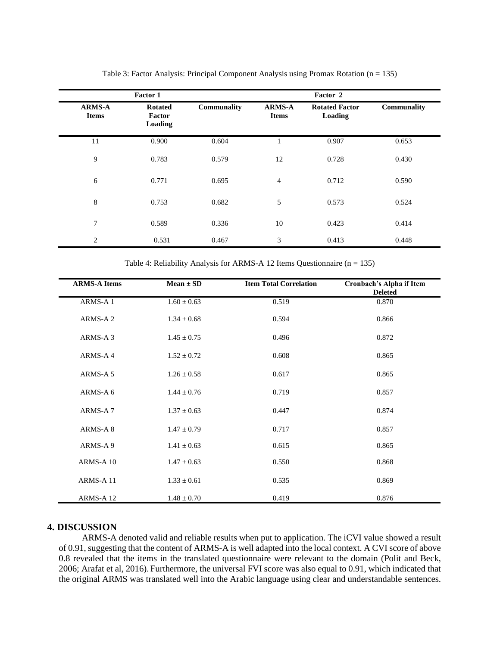|                               | <b>Factor 1</b>                     |                    |                               | Factor 2                         |             |
|-------------------------------|-------------------------------------|--------------------|-------------------------------|----------------------------------|-------------|
| <b>ARMS-A</b><br><b>Items</b> | <b>Rotated</b><br>Factor<br>Loading | <b>Communality</b> | <b>ARMS-A</b><br><b>Items</b> | <b>Rotated Factor</b><br>Loading | Communality |
| 11                            | 0.900                               | 0.604              |                               | 0.907                            | 0.653       |
| 9                             | 0.783                               | 0.579              | 12                            | 0.728                            | 0.430       |
| 6                             | 0.771                               | 0.695              | $\overline{4}$                | 0.712                            | 0.590       |
| 8                             | 0.753                               | 0.682              | 5                             | 0.573                            | 0.524       |
| 7                             | 0.589                               | 0.336              | 10                            | 0.423                            | 0.414       |
| $\overline{2}$                | 0.531                               | 0.467              | 3                             | 0.413                            | 0.448       |

Table 3: Factor Analysis: Principal Component Analysis using Promax Rotation ( $n = 135$ )

Table 4: Reliability Analysis for ARMS-A 12 Items Questionnaire (n = 135)

| <b>ARMS-A Items</b> | $Mean \pm SD$   | <b>Item Total Correlation</b> | Cronbach's Alpha if Item<br><b>Deleted</b> |
|---------------------|-----------------|-------------------------------|--------------------------------------------|
| ARMS-A 1            | $1.60 \pm 0.63$ | 0.519                         | 0.870                                      |
| ARMS-A 2            | $1.34 \pm 0.68$ | 0.594                         | 0.866                                      |
| ARMS-A 3            | $1.45 \pm 0.75$ | 0.496                         | 0.872                                      |
| ARMS-A4             | $1.52 \pm 0.72$ | 0.608                         | 0.865                                      |
| ARMS-A 5            | $1.26 \pm 0.58$ | 0.617                         | 0.865                                      |
| ARMS-A 6            | $1.44 \pm 0.76$ | 0.719                         | 0.857                                      |
| ARMS-A7             | $1.37 \pm 0.63$ | 0.447                         | 0.874                                      |
| ARMS-A8             | $1.47 \pm 0.79$ | 0.717                         | 0.857                                      |
| ARMS-A 9            | $1.41 \pm 0.63$ | 0.615                         | 0.865                                      |
| ARMS-A 10           | $1.47 \pm 0.63$ | 0.550                         | 0.868                                      |
| ARMS-A 11           | $1.33 \pm 0.61$ | 0.535                         | 0.869                                      |
| ARMS-A 12           | $1.48 \pm 0.70$ | 0.419                         | 0.876                                      |

## **4. DISCUSSION**

ARMS-A denoted valid and reliable results when put to application. The iCVI value showed a result of 0.91, suggesting that the content of ARMS-A is well adapted into the local context. A CVI score of above 0.8 revealed that the items in the translated questionnaire were relevant to the domain (Polit and Beck, 2006; Arafat et al, 2016). Furthermore, the universal FVI score was also equal to 0.91, which indicated that the original ARMS was translated well into the Arabic language using clear and understandable sentences.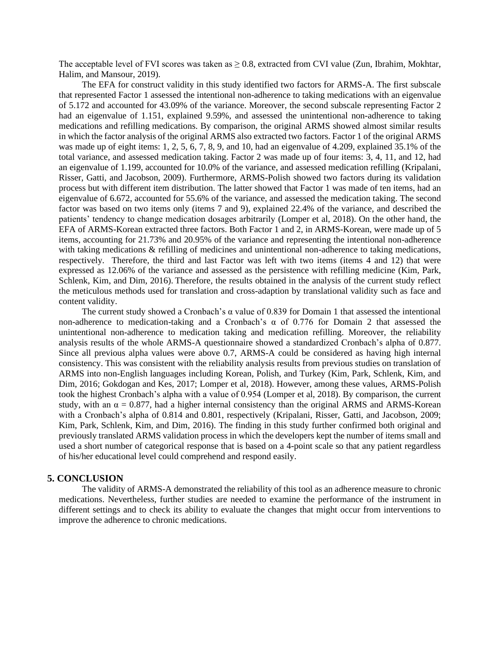The acceptable level of FVI scores was taken as  $\geq 0.8$ , extracted from CVI value (Zun, Ibrahim, Mokhtar, Halim, and Mansour, 2019).

The EFA for construct validity in this study identified two factors for ARMS-A. The first subscale that represented Factor 1 assessed the intentional non-adherence to taking medications with an eigenvalue of 5.172 and accounted for 43.09% of the variance. Moreover, the second subscale representing Factor 2 had an eigenvalue of 1.151, explained 9.59%, and assessed the unintentional non-adherence to taking medications and refilling medications. By comparison, the original ARMS showed almost similar results in which the factor analysis of the original ARMS also extracted two factors. Factor 1 of the original ARMS was made up of eight items: 1, 2, 5, 6, 7, 8, 9, and 10, had an eigenvalue of 4.209, explained 35.1% of the total variance, and assessed medication taking. Factor 2 was made up of four items: 3, 4, 11, and 12, had an eigenvalue of 1.199, accounted for 10.0% of the variance, and assessed medication refilling (Kripalani, Risser, Gatti, and Jacobson, 2009). Furthermore, ARMS-Polish showed two factors during its validation process but with different item distribution. The latter showed that Factor 1 was made of ten items, had an eigenvalue of 6.672, accounted for 55.6% of the variance, and assessed the medication taking. The second factor was based on two items only (items 7 and 9), explained 22.4% of the variance, and described the patients' tendency to change medication dosages arbitrarily (Lomper et al, 2018). On the other hand, the EFA of ARMS-Korean extracted three factors. Both Factor 1 and 2, in ARMS-Korean, were made up of 5 items, accounting for 21.73% and 20.95% of the variance and representing the intentional non-adherence with taking medications  $\&$  refilling of medicines and unintentional non-adherence to taking medications, respectively. Therefore, the third and last Factor was left with two items (items 4 and 12) that were expressed as 12.06% of the variance and assessed as the persistence with refilling medicine (Kim, Park, Schlenk, Kim, and Dim, 2016). Therefore, the results obtained in the analysis of the current study reflect the meticulous methods used for translation and cross-adaption by translational validity such as face and content validity.

The current study showed a Cronbach's α value of 0.839 for Domain 1 that assessed the intentional non-adherence to medication-taking and a Cronbach's α of 0.776 for Domain 2 that assessed the unintentional non-adherence to medication taking and medication refilling. Moreover, the reliability analysis results of the whole ARMS-A questionnaire showed a standardized Cronbach's alpha of 0.877. Since all previous alpha values were above 0.7, ARMS-A could be considered as having high internal consistency. This was consistent with the reliability analysis results from previous studies on translation of ARMS into non-English languages including Korean, Polish, and Turkey (Kim, Park, Schlenk, Kim, and Dim, 2016; Gokdogan and Kes, 2017; Lomper et al, 2018). However, among these values, ARMS-Polish took the highest Cronbach's alpha with a value of 0.954 (Lomper et al, 2018). By comparison, the current study, with an  $\alpha = 0.877$ , had a higher internal consistency than the original ARMS and ARMS-Korean with a Cronbach's alpha of 0.814 and 0.801, respectively (Kripalani, Risser, Gatti, and Jacobson, 2009; Kim, Park, Schlenk, Kim, and Dim, 2016). The finding in this study further confirmed both original and previously translated ARMS validation process in which the developers kept the number of items small and used a short number of categorical response that is based on a 4-point scale so that any patient regardless of his/her educational level could comprehend and respond easily.

#### **5. CONCLUSION**

The validity of ARMS-A demonstrated the reliability of this tool as an adherence measure to chronic medications. Nevertheless, further studies are needed to examine the performance of the instrument in different settings and to check its ability to evaluate the changes that might occur from interventions to improve the adherence to chronic medications.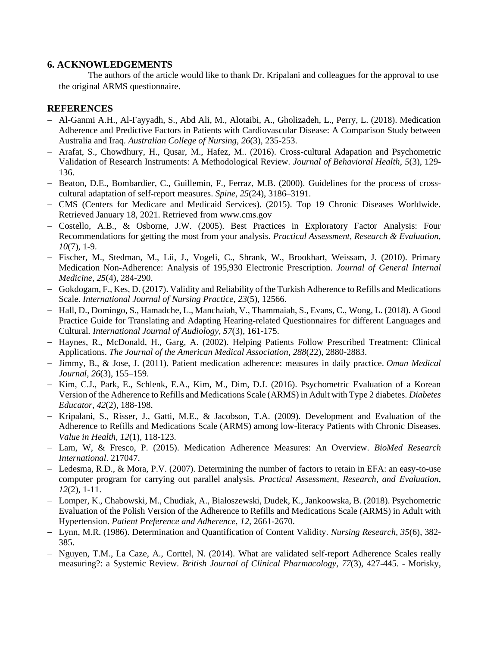# **6. ACKNOWLEDGEMENTS**

The authors of the article would like to thank Dr. Kripalani and colleagues for the approval to use the original ARMS questionnaire.

# **REFERENCES**

- − Al-Ganmi A.H., Al-Fayyadh, S., Abd Ali, M., Alotaibi, A., Gholizadeh, L., Perry, L. (2018). Medication Adherence and Predictive Factors in Patients with Cardiovascular Disease: A Comparison Study between Australia and Iraq. *Australian College of Nursing*, *26*(3), 235-253.
- − Arafat, S., Chowdhury, H., Qusar, M., Hafez, M.. (2016). Cross-cultural Adapation and Psychometric Validation of Research Instruments: A Methodological Review. *Journal of Behavioral Health, 5*(3), 129- 136.
- − Beaton, D.E., Bombardier, C., Guillemin, F., Ferraz, M.B. (2000). Guidelines for the process of crosscultural adaptation of self-report measures. *Spine*, *25*(24), 3186–3191.
- − CMS (Centers for Medicare and Medicaid Services). (2015). Top 19 Chronic Diseases Worldwide. Retrieved January 18, 2021. Retrieved from www.cms.gov
- − Costello, A.B., & Osborne, J.W. (2005). Best Practices in Exploratory Factor Analysis: Four Recommendations for getting the most from your analysis*. Practical Assessment, Research & Evaluation, 10*(7), 1-9.
- − Fischer, M., Stedman, M., Lii, J., Vogeli, C., Shrank, W., Brookhart, Weissam, J. (2010). Primary Medication Non-Adherence: Analysis of 195,930 Electronic Prescription. *Journal of General Internal Medicine, 25*(4), 284-290.
- − Gokdogam, F., Kes, D. (2017). Validity and Reliability of the Turkish Adherence to Refills and Medications Scale. *International Journal of Nursing Practice*, *23*(5), 12566.
- − Hall, D., Domingo, S., Hamadche, L., Manchaiah, V., Thammaiah, S., Evans, C., Wong, L. (2018). A Good Practice Guide for Translating and Adapting Hearing-related Questionnaires for different Languages and Cultural*. International Journal of Audiology, 57*(3), 161-175.
- − Haynes, R., McDonald, H., Garg, A. (2002). Helping Patients Follow Prescribed Treatment: Clinical Applications. *The Journal of the American Medical Association*, *288*(22), 2880-2883.
- − Jimmy, B., & Jose, J. (2011). Patient medication adherence: measures in daily practice. *Oman Medical Journal*, *26*(3), 155–159.
- − Kim, C.J., Park, E., Schlenk, E.A., Kim, M., Dim, D.J. (2016). Psychometric Evaluation of a Korean Version of the Adherence to Refills and Medications Scale (ARMS) in Adult with Type 2 diabetes. *Diabetes Educator*, *42*(2), 188-198.
- − Kripalani, S., Risser, J., Gatti, M.E., & Jacobson, T.A. (2009). Development and Evaluation of the Adherence to Refills and Medications Scale (ARMS) among low-literacy Patients with Chronic Diseases. *Value in Health*, *12*(1), 118-123.
- − Lam, W, & Fresco, P. (2015). Medication Adherence Measures: An Overview. *BioMed Research International*. 217047.
- − Ledesma, R.D., & Mora, P.V. (2007). Determining the number of factors to retain in EFA: an easy-to-use computer program for carrying out parallel analysis. *Practical Assessment, Research, and Evaluation*, *12*(2), 1-11.
- − Lomper, K., Chabowski, M., Chudiak, A., Bialoszewski, Dudek, K., Jankoowska, B. (2018). Psychometric Evaluation of the Polish Version of the Adherence to Refills and Medications Scale (ARMS) in Adult with Hypertension. *Patient Preference and Adherence*, *12*, 2661-2670.
- − Lynn, M.R. (1986). Determination and Quantification of Content Validity. *Nursing Research, 35*(6), 382- 385.
- − Nguyen, T.M., La Caze, A., Corttel, N. (2014). What are validated self-report Adherence Scales really measuring?: a Systemic Review. *British Journal of Clinical Pharmacology*, *77*(3), 427-445. - Morisky,